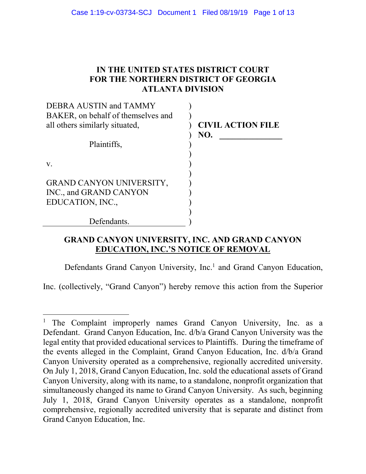# **IN THE UNITED STATES DISTRICT COURT FOR THE NORTHERN DISTRICT OF GEORGIA ATLANTA DIVISION**

| DEBRA AUSTIN and TAMMY             |                          |
|------------------------------------|--------------------------|
| BAKER, on behalf of themselves and |                          |
| all others similarly situated,     | <b>CIVIL ACTION FILE</b> |
|                                    | NO.                      |
| Plaintiffs,                        |                          |
|                                    |                          |
| V.                                 |                          |
|                                    |                          |
| <b>GRAND CANYON UNIVERSITY,</b>    |                          |
| INC., and GRAND CANYON             |                          |
| EDUCATION, INC.,                   |                          |
|                                    |                          |
| Defendants.                        |                          |

# **GRAND CANYON UNIVERSITY, INC. AND GRAND CANYON EDUCATION, INC.'S NOTICE OF REMOVAL**

Defendants Grand Canyon University, Inc.<sup>1</sup> and Grand Canyon Education,

Inc. (collectively, "Grand Canyon") hereby remove this action from the Superior

 $\overline{a}$ 

<sup>&</sup>lt;sup>1</sup> The Complaint improperly names Grand Canyon University, Inc. as a Defendant. Grand Canyon Education, Inc. d/b/a Grand Canyon University was the legal entity that provided educational services to Plaintiffs. During the timeframe of the events alleged in the Complaint, Grand Canyon Education, Inc. d/b/a Grand Canyon University operated as a comprehensive, regionally accredited university. On July 1, 2018, Grand Canyon Education, Inc. sold the educational assets of Grand Canyon University, along with its name, to a standalone, nonprofit organization that simultaneously changed its name to Grand Canyon University. As such, beginning July 1, 2018, Grand Canyon University operates as a standalone, nonprofit comprehensive, regionally accredited university that is separate and distinct from Grand Canyon Education, Inc.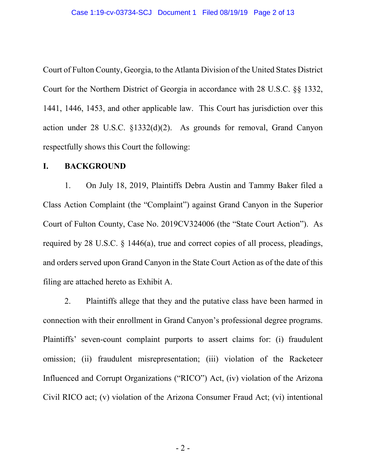Court of Fulton County, Georgia, to the Atlanta Division of the United States District Court for the Northern District of Georgia in accordance with 28 U.S.C. §§ 1332, 1441, 1446, 1453, and other applicable law. This Court has jurisdiction over this action under 28 U.S.C. §1332(d)(2). As grounds for removal, Grand Canyon respectfully shows this Court the following:

### **I. BACKGROUND**

1. On July 18, 2019, Plaintiffs Debra Austin and Tammy Baker filed a Class Action Complaint (the "Complaint") against Grand Canyon in the Superior Court of Fulton County, Case No. 2019CV324006 (the "State Court Action"). As required by 28 U.S.C. § 1446(a), true and correct copies of all process, pleadings, and orders served upon Grand Canyon in the State Court Action as of the date of this filing are attached hereto as Exhibit A.

2. Plaintiffs allege that they and the putative class have been harmed in connection with their enrollment in Grand Canyon's professional degree programs. Plaintiffs' seven-count complaint purports to assert claims for: (i) fraudulent omission; (ii) fraudulent misrepresentation; (iii) violation of the Racketeer Influenced and Corrupt Organizations ("RICO") Act, (iv) violation of the Arizona Civil RICO act; (v) violation of the Arizona Consumer Fraud Act; (vi) intentional

- 2 -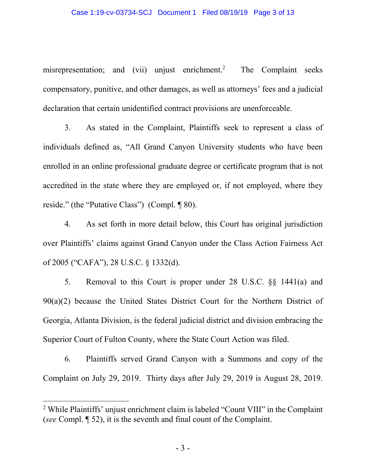misrepresentation; and (vii) unjust enrichment.<sup>2</sup> The Complaint seeks compensatory, punitive, and other damages, as well as attorneys' fees and a judicial declaration that certain unidentified contract provisions are unenforceable.

3. As stated in the Complaint, Plaintiffs seek to represent a class of individuals defined as, "All Grand Canyon University students who have been enrolled in an online professional graduate degree or certificate program that is not accredited in the state where they are employed or, if not employed, where they reside." (the "Putative Class") (Compl. ¶ 80).

4. As set forth in more detail below, this Court has original jurisdiction over Plaintiffs' claims against Grand Canyon under the Class Action Fairness Act of 2005 ("CAFA"), 28 U.S.C. § 1332(d).

5. Removal to this Court is proper under 28 U.S.C. §§ 1441(a) and 90(a)(2) because the United States District Court for the Northern District of Georgia, Atlanta Division, is the federal judicial district and division embracing the Superior Court of Fulton County, where the State Court Action was filed.

6. Plaintiffs served Grand Canyon with a Summons and copy of the Complaint on July 29, 2019. Thirty days after July 29, 2019 is August 28, 2019.

 $\overline{a}$ 

<sup>&</sup>lt;sup>2</sup> While Plaintiffs' unjust enrichment claim is labeled "Count VIII" in the Complaint (*see* Compl. ¶ 52), it is the seventh and final count of the Complaint.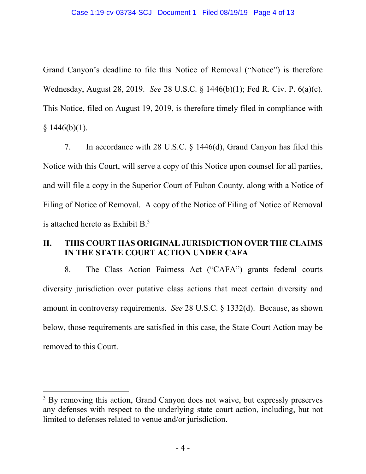Grand Canyon's deadline to file this Notice of Removal ("Notice") is therefore Wednesday, August 28, 2019. *See* 28 U.S.C. § 1446(b)(1); Fed R. Civ. P. 6(a)(c). This Notice, filed on August 19, 2019, is therefore timely filed in compliance with  $§ 1446(b)(1).$ 

7. In accordance with 28 U.S.C. § 1446(d), Grand Canyon has filed this Notice with this Court, will serve a copy of this Notice upon counsel for all parties, and will file a copy in the Superior Court of Fulton County, along with a Notice of Filing of Notice of Removal. A copy of the Notice of Filing of Notice of Removal is attached hereto as Exhibit  $B<sup>3</sup>$ .

# **II. THIS COURT HAS ORIGINAL JURISDICTION OVER THE CLAIMS IN THE STATE COURT ACTION UNDER CAFA**

8. The Class Action Fairness Act ("CAFA") grants federal courts diversity jurisdiction over putative class actions that meet certain diversity and amount in controversy requirements. *See* 28 U.S.C. § 1332(d). Because, as shown below, those requirements are satisfied in this case, the State Court Action may be removed to this Court.

 $\overline{a}$ 

<sup>&</sup>lt;sup>3</sup> By removing this action, Grand Canyon does not waive, but expressly preserves any defenses with respect to the underlying state court action, including, but not limited to defenses related to venue and/or jurisdiction.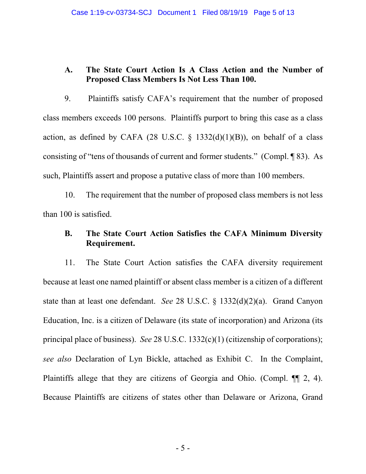## **A. The State Court Action Is A Class Action and the Number of Proposed Class Members Is Not Less Than 100.**

9. Plaintiffs satisfy CAFA's requirement that the number of proposed class members exceeds 100 persons. Plaintiffs purport to bring this case as a class action, as defined by CAFA (28 U.S.C.  $\S$  1332(d)(1)(B)), on behalf of a class consisting of "tens of thousands of current and former students." (Compl. ¶ 83). As such, Plaintiffs assert and propose a putative class of more than 100 members.

10. The requirement that the number of proposed class members is not less than 100 is satisfied.

# **B. The State Court Action Satisfies the CAFA Minimum Diversity Requirement.**

11. The State Court Action satisfies the CAFA diversity requirement because at least one named plaintiff or absent class member is a citizen of a different state than at least one defendant. *See* 28 U.S.C. § 1332(d)(2)(a). Grand Canyon Education, Inc. is a citizen of Delaware (its state of incorporation) and Arizona (its principal place of business). *See* 28 U.S.C. 1332(c)(1) (citizenship of corporations); *see also* Declaration of Lyn Bickle, attached as Exhibit C. In the Complaint, Plaintiffs allege that they are citizens of Georgia and Ohio. (Compl. ¶¶ 2, 4). Because Plaintiffs are citizens of states other than Delaware or Arizona, Grand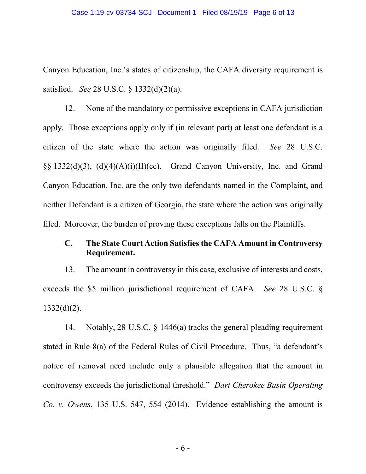Canyon Education, Inc.'s states of citizenship, the CAFA diversity requirement is satisfied. *See* 28 U.S.C. § 1332(d)(2)(a).

12. None of the mandatory or permissive exceptions in CAFA jurisdiction apply. Those exceptions apply only if (in relevant part) at least one defendant is a citizen of the state where the action was originally filed. *See* 28 U.S.C. §§ 1332(d)(3), (d)(4)(A)(i)(II)(cc). Grand Canyon University, Inc. and Grand Canyon Education, Inc. are the only two defendants named in the Complaint, and neither Defendant is a citizen of Georgia, the state where the action was originally filed. Moreover, the burden of proving these exceptions falls on the Plaintiffs.

## **C. The State Court Action Satisfies the CAFA Amount in Controversy Requirement.**

13. The amount in controversy in this case, exclusive of interests and costs, exceeds the \$5 million jurisdictional requirement of CAFA. *See* 28 U.S.C. §  $1332(d)(2)$ .

14. Notably, 28 U.S.C. § 1446(a) tracks the general pleading requirement stated in Rule 8(a) of the Federal Rules of Civil Procedure. Thus, "a defendant's notice of removal need include only a plausible allegation that the amount in controversy exceeds the jurisdictional threshold." *Dart Cherokee Basin Operating Co. v. Owens*, 135 U.S. 547, 554 (2014). Evidence establishing the amount is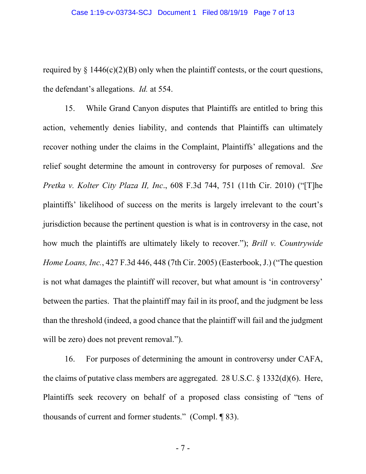required by  $\S$  1446(c)(2)(B) only when the plaintiff contests, or the court questions, the defendant's allegations. *Id.* at 554.

15. While Grand Canyon disputes that Plaintiffs are entitled to bring this action, vehemently denies liability, and contends that Plaintiffs can ultimately recover nothing under the claims in the Complaint, Plaintiffs' allegations and the relief sought determine the amount in controversy for purposes of removal. *See Pretka v. Kolter City Plaza II, Inc*., 608 F.3d 744, 751 (11th Cir. 2010) ("[T]he plaintiffs' likelihood of success on the merits is largely irrelevant to the court's jurisdiction because the pertinent question is what is in controversy in the case, not how much the plaintiffs are ultimately likely to recover."); *Brill v. Countrywide Home Loans, Inc.*, 427 F.3d 446, 448 (7th Cir. 2005) (Easterbook, J.) ("The question is not what damages the plaintiff will recover, but what amount is 'in controversy' between the parties. That the plaintiff may fail in its proof, and the judgment be less than the threshold (indeed, a good chance that the plaintiff will fail and the judgment will be zero) does not prevent removal."

16. For purposes of determining the amount in controversy under CAFA, the claims of putative class members are aggregated. 28 U.S.C. § 1332(d)(6). Here, Plaintiffs seek recovery on behalf of a proposed class consisting of "tens of thousands of current and former students." (Compl. ¶ 83).

- 7 -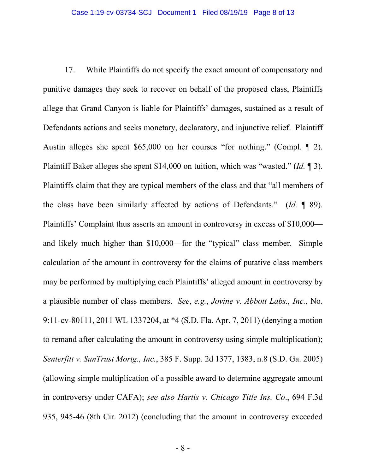17. While Plaintiffs do not specify the exact amount of compensatory and punitive damages they seek to recover on behalf of the proposed class, Plaintiffs allege that Grand Canyon is liable for Plaintiffs' damages, sustained as a result of Defendants actions and seeks monetary, declaratory, and injunctive relief. Plaintiff Austin alleges she spent \$65,000 on her courses "for nothing." (Compl. ¶ 2). Plaintiff Baker alleges she spent \$14,000 on tuition, which was "wasted." (*Id.* ¶ 3). Plaintiffs claim that they are typical members of the class and that "all members of the class have been similarly affected by actions of Defendants." (*Id.* ¶ 89). Plaintiffs' Complaint thus asserts an amount in controversy in excess of \$10,000 and likely much higher than \$10,000—for the "typical" class member. Simple calculation of the amount in controversy for the claims of putative class members may be performed by multiplying each Plaintiffs' alleged amount in controversy by a plausible number of class members. *See*, *e.g.*, *Jovine v. Abbott Labs., Inc.*, No. 9:11-cv-80111, 2011 WL 1337204, at \*4 (S.D. Fla. Apr. 7, 2011) (denying a motion to remand after calculating the amount in controversy using simple multiplication); *Senterfitt v. SunTrust Mortg., Inc.*, 385 F. Supp. 2d 1377, 1383, n.8 (S.D. Ga. 2005) (allowing simple multiplication of a possible award to determine aggregate amount in controversy under CAFA); *see also Hartis v. Chicago Title Ins. Co*., 694 F.3d 935, 945-46 (8th Cir. 2012) (concluding that the amount in controversy exceeded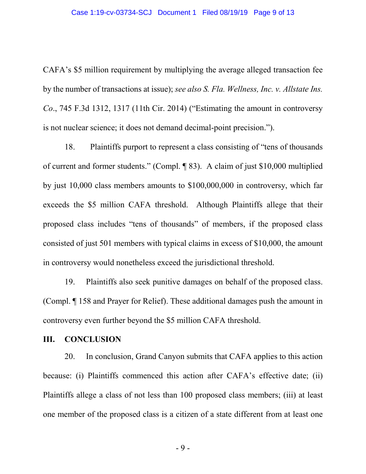CAFA's \$5 million requirement by multiplying the average alleged transaction fee by the number of transactions at issue); *see also S. Fla. Wellness, Inc. v. Allstate Ins. Co*., 745 F.3d 1312, 1317 (11th Cir. 2014) ("Estimating the amount in controversy is not nuclear science; it does not demand decimal-point precision.").

18. Plaintiffs purport to represent a class consisting of "tens of thousands of current and former students." (Compl. ¶ 83). A claim of just \$10,000 multiplied by just 10,000 class members amounts to \$100,000,000 in controversy, which far exceeds the \$5 million CAFA threshold. Although Plaintiffs allege that their proposed class includes "tens of thousands" of members, if the proposed class consisted of just 501 members with typical claims in excess of \$10,000, the amount in controversy would nonetheless exceed the jurisdictional threshold.

19. Plaintiffs also seek punitive damages on behalf of the proposed class. (Compl. ¶ 158 and Prayer for Relief). These additional damages push the amount in controversy even further beyond the \$5 million CAFA threshold.

#### **III. CONCLUSION**

20. In conclusion, Grand Canyon submits that CAFA applies to this action because: (i) Plaintiffs commenced this action after CAFA's effective date; (ii) Plaintiffs allege a class of not less than 100 proposed class members; (iii) at least one member of the proposed class is a citizen of a state different from at least one

- 9 -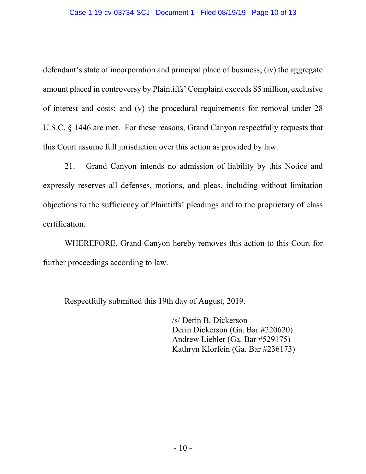defendant's state of incorporation and principal place of business; (iv) the aggregate amount placed in controversy by Plaintiffs' Complaint exceeds \$5 million, exclusive of interest and costs; and (v) the procedural requirements for removal under 28 U.S.C. § 1446 are met. For these reasons, Grand Canyon respectfully requests that this Court assume full jurisdiction over this action as provided by law.

21. Grand Canyon intends no admission of liability by this Notice and expressly reserves all defenses, motions, and pleas, including without limitation objections to the sufficiency of Plaintiffs' pleadings and to the proprietary of class certification.

WHEREFORE, Grand Canyon hereby removes this action to this Court for further proceedings according to law.

Respectfully submitted this 19th day of August, 2019.

/s/ Derin B. Dickerson Derin Dickerson (Ga. Bar #220620) Andrew Liebler (Ga. Bar #529175) Kathryn Klorfein (Ga. Bar #236173)